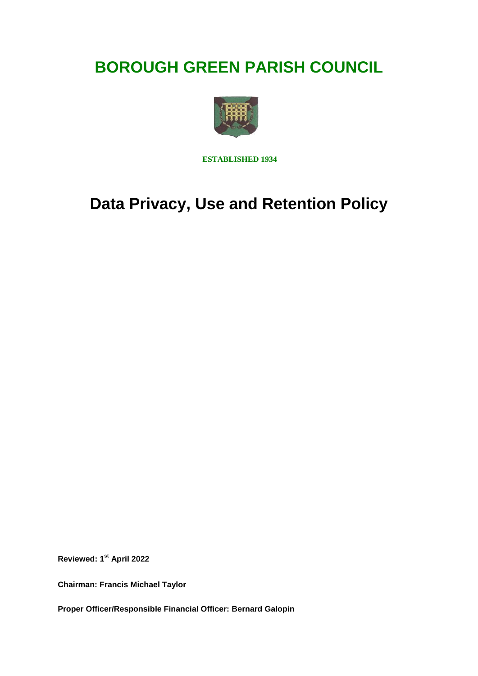# **BOROUGH GREEN PARISH COUNCIL**



 **ESTABLISHED 1934**

## **Data Privacy, Use and Retention Policy**

**Reviewed: 1st April 2022**

**Chairman: Francis Michael Taylor**

**Proper Officer/Responsible Financial Officer: Bernard Galopin**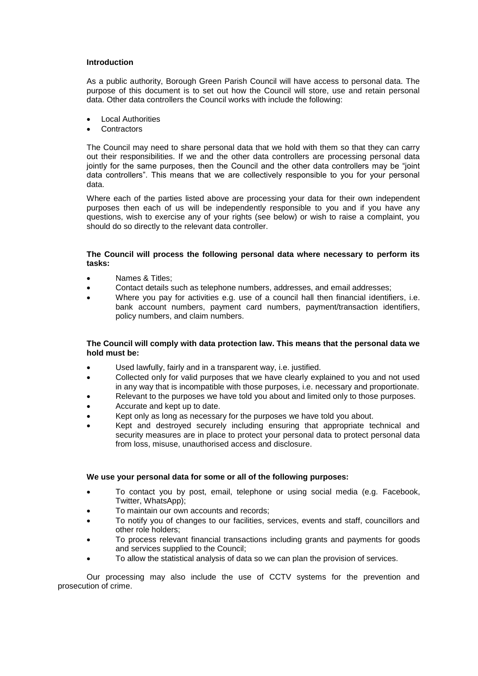## **Introduction**

As a public authority, Borough Green Parish Council will have access to personal data. The purpose of this document is to set out how the Council will store, use and retain personal data. Other data controllers the Council works with include the following:

- Local Authorities
- **Contractors**

The Council may need to share personal data that we hold with them so that they can carry out their responsibilities. If we and the other data controllers are processing personal data jointly for the same purposes, then the Council and the other data controllers may be "joint data controllers". This means that we are collectively responsible to you for your personal data.

Where each of the parties listed above are processing your data for their own independent purposes then each of us will be independently responsible to you and if you have any questions, wish to exercise any of your rights (see below) or wish to raise a complaint, you should do so directly to the relevant data controller.

## **The Council will process the following personal data where necessary to perform its tasks:**

- Names & Titles;
- Contact details such as telephone numbers, addresses, and email addresses;
- Where you pay for activities e.g. use of a council hall then financial identifiers, i.e. bank account numbers, payment card numbers, payment/transaction identifiers, policy numbers, and claim numbers.

## **The Council will comply with data protection law. This means that the personal data we hold must be:**

- Used lawfully, fairly and in a transparent way, i.e. justified.
- Collected only for valid purposes that we have clearly explained to you and not used in any way that is incompatible with those purposes, i.e. necessary and proportionate.
- Relevant to the purposes we have told you about and limited only to those purposes.
- Accurate and kept up to date.
- Kept only as long as necessary for the purposes we have told you about.
- Kept and destroyed securely including ensuring that appropriate technical and security measures are in place to protect your personal data to protect personal data from loss, misuse, unauthorised access and disclosure.

## **We use your personal data for some or all of the following purposes:**

- To contact you by post, email, telephone or using social media (e.g. Facebook, Twitter, WhatsApp);
- To maintain our own accounts and records;
- To notify you of changes to our facilities, services, events and staff, councillors and other role holders;
- To process relevant financial transactions including grants and payments for goods and services supplied to the Council;
- To allow the statistical analysis of data so we can plan the provision of services.

Our processing may also include the use of CCTV systems for the prevention and prosecution of crime.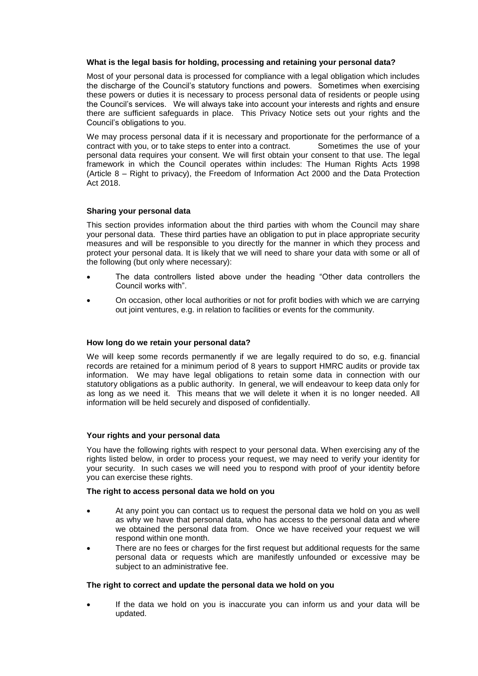## **What is the legal basis for holding, processing and retaining your personal data?**

Most of your personal data is processed for compliance with a legal obligation which includes the discharge of the Council's statutory functions and powers. Sometimes when exercising these powers or duties it is necessary to process personal data of residents or people using the Council's services. We will always take into account your interests and rights and ensure there are sufficient safeguards in place. This Privacy Notice sets out your rights and the Council's obligations to you.

We may process personal data if it is necessary and proportionate for the performance of a contract with you, or to take steps to enter into a contract. Sometimes the use of your personal data requires your consent. We will first obtain your consent to that use. The legal framework in which the Council operates within includes: The Human Rights Acts 1998 (Article 8 – Right to privacy), the Freedom of Information Act 2000 and the Data Protection Act 2018.

## **Sharing your personal data**

This section provides information about the third parties with whom the Council may share your personal data. These third parties have an obligation to put in place appropriate security measures and will be responsible to you directly for the manner in which they process and protect your personal data. It is likely that we will need to share your data with some or all of the following (but only where necessary):

- The data controllers listed above under the heading "Other data controllers the Council works with".
- On occasion, other local authorities or not for profit bodies with which we are carrying out joint ventures, e.g. in relation to facilities or events for the community.

## **How long do we retain your personal data?**

We will keep some records permanently if we are legally required to do so, e.g. financial records are retained for a minimum period of 8 years to support HMRC audits or provide tax information. We may have legal obligations to retain some data in connection with our statutory obligations as a public authority. In general, we will endeavour to keep data only for as long as we need it. This means that we will delete it when it is no longer needed. All information will be held securely and disposed of confidentially.

## **Your rights and your personal data**

You have the following rights with respect to your personal data. When exercising any of the rights listed below, in order to process your request, we may need to verify your identity for your security. In such cases we will need you to respond with proof of your identity before you can exercise these rights.

## **The right to access personal data we hold on you**

- At any point you can contact us to request the personal data we hold on you as well as why we have that personal data, who has access to the personal data and where we obtained the personal data from. Once we have received your request we will respond within one month.
- There are no fees or charges for the first request but additional requests for the same personal data or requests which are manifestly unfounded or excessive may be subject to an administrative fee.

## **The right to correct and update the personal data we hold on you**

 If the data we hold on you is inaccurate you can inform us and your data will be updated.